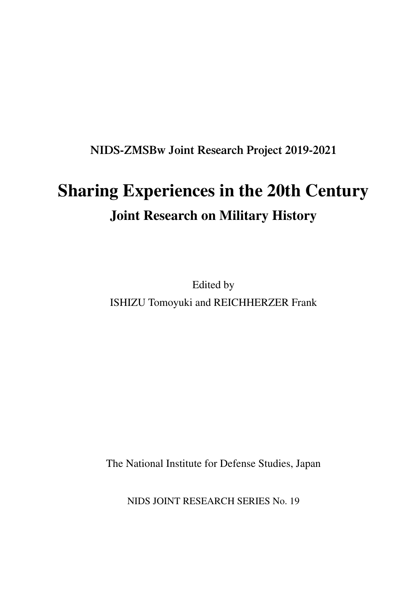**NIDS-ZMSBw Joint Research Project 2019-2021**

## **Sharing Experiences in the 20th Century Joint Research on Military History**

Edited by ISHIZU Tomoyuki and REICHHERZER Frank

The National Institute for Defense Studies, Japan

NIDS JOINT RESEARCH SERIES No. 19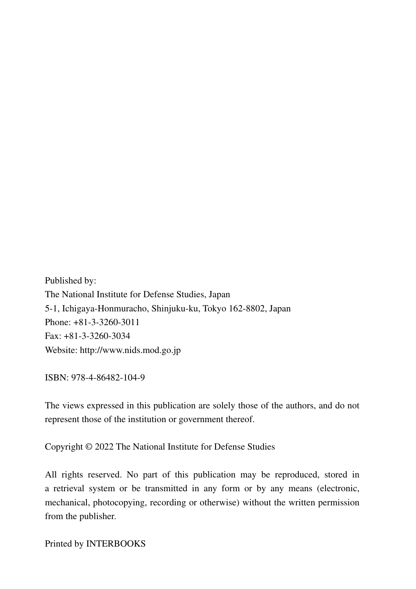Published by: The National Institute for Defense Studies, Japan 5-1, Ichigaya-Honmuracho, Shinjuku-ku, Tokyo 162-8802, Japan Phone: +81-3-3260-3011 Fax: +81-3-3260-3034 Website: http://www.nids.mod.go.jp

ISBN: 978-4-86482-104-9

The views expressed in this publication are solely those of the authors, and do not represent those of the institution or government thereof.

Copyright © 2022 The National Institute for Defense Studies

All rights reserved. No part of this publication may be reproduced, stored in a retrieval system or be transmitted in any form or by any means (electronic, mechanical, photocopying, recording or otherwise) without the written permission from the publisher.

Printed by INTERBOOKS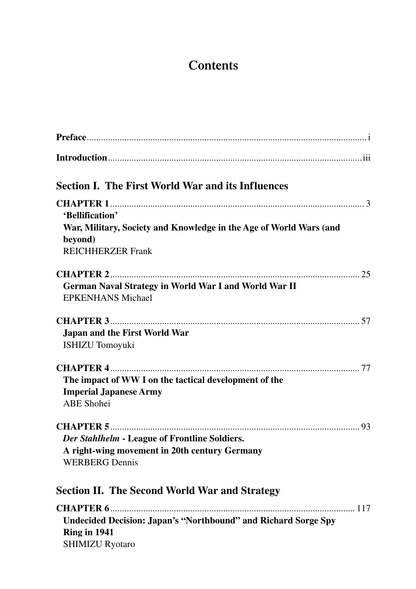## **Contents**

| <b>Section I. The First World War and its Influences</b>                                                                     |
|------------------------------------------------------------------------------------------------------------------------------|
| 'Bellification'<br>War, Military, Society and Knowledge in the Age of World Wars (and<br>beyond)<br><b>REICHHERZER Frank</b> |
| German Naval Strategy in World War I and World War II<br><b>EPKENHANS Michael</b>                                            |
| Japan and the First World War<br><b>ISHIZU</b> Tomoyuki                                                                      |
| The impact of WW I on the tactical development of the<br><b>Imperial Japanese Army</b><br><b>ABE</b> Shohei                  |
| Der Stahlhelm - League of Frontline Soldiers.<br>A right-wing movement in 20th century Germany<br><b>WERBERG</b> Dennis      |
| <b>Section II. The Second World War and Strategy</b>                                                                         |
| <b>Undecided Decision: Japan's "Northbound" and Richard Sorge Spy</b><br>Ring in 1941<br><b>SHIMIZU Ryotaro</b>              |